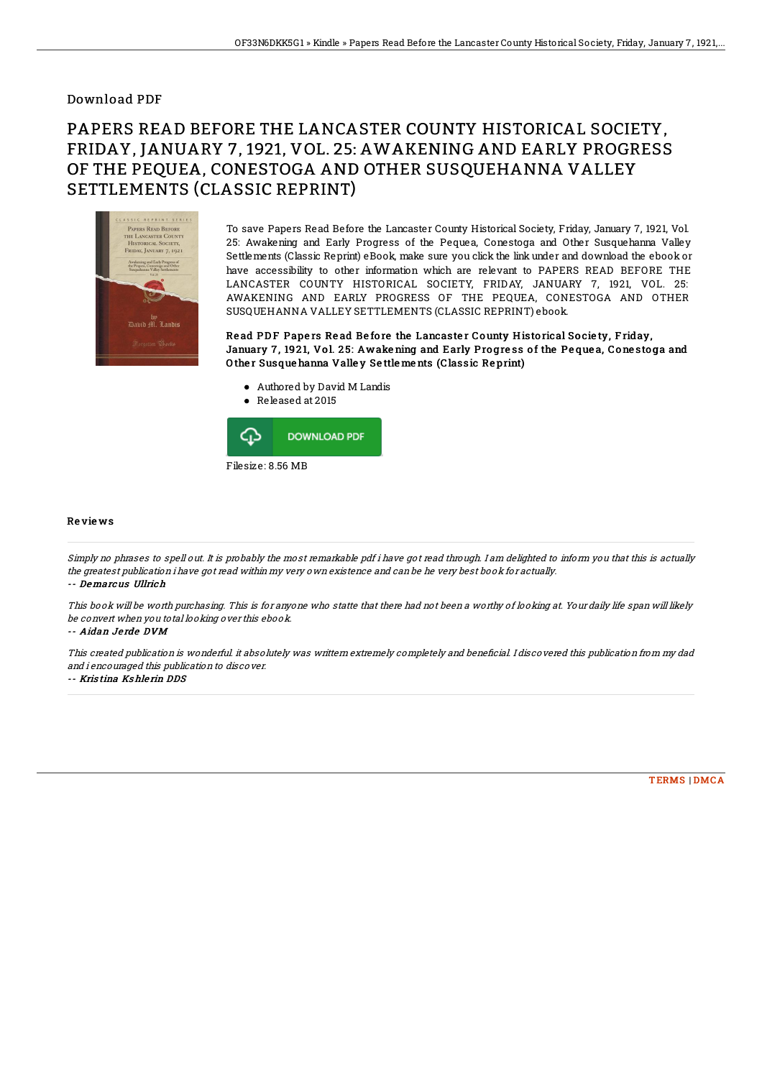## Download PDF

## PAPERS READ BEFORE THE LANCASTER COUNTY HISTORICAL SOCIETY, FRIDAY, JANUARY 7, 1921, VOL. 25: AWAKENING AND EARLY PROGRESS OF THE PEQUEA, CONESTOGA AND OTHER SUSQUEHANNA VALLEY SETTLEMENTS (CLASSIC REPRINT)



To save Papers Read Before the Lancaster County Historical Society, Friday, January 7, 1921, Vol. 25: Awakening and Early Progress of the Pequea, Conestoga and Other Susquehanna Valley Settlements (Classic Reprint) eBook, make sure you click the link under and download the ebook or have accessibility to other information which are relevant to PAPERS READ BEFORE THE LANCASTER COUNTY HISTORICAL SOCIETY, FRIDAY, JANUARY 7, 1921, VOL. 25: AWAKENING AND EARLY PROGRESS OF THE PEQUEA, CONESTOGA AND OTHER SUSQUEHANNA VALLEY SETTLEMENTS (CLASSIC REPRINT) ebook.

Read PDF Papers Read Before the Lancaster County Historical Society, Friday, January 7, 1921, Vol. 25: Awake ning and Early Progress of the Pequea, Conestoga and O the r Susque hanna Valle y Se ttle me nts (Classic Re print)

- Authored by David M Landis
- Released at 2015



## Re vie ws

Simply no phrases to spell out. It is probably the most remarkable pdf i have got read through. I am delighted to inform you that this is actually the greatest publication i have got read within my very own existence and can be he very best book for actually. -- Demarcus Ullrich

This book will be worth purchasing. This is for anyone who statte that there had not been <sup>a</sup> worthy of looking at. Your daily life span will likely be convert when you total looking over this ebook.

-- Aidan Je rde DVM

This created publication is wonderful. it absolutely was writtem extremely completely and beneficial. I discovered this publication from my dad and i encouraged this publication to discover.

-- Kris tina Ks hle rin DDS